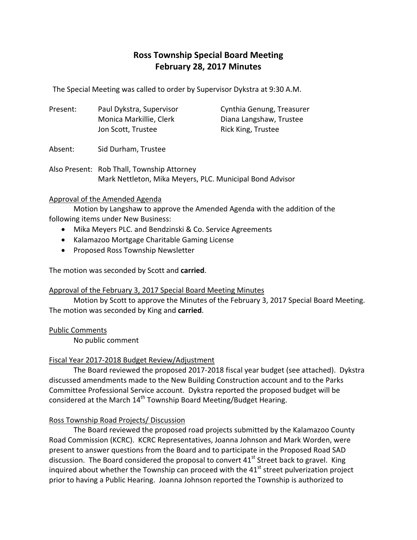# **Ross Township Special Board Meeting February 28, 2017 Minutes**

The Special Meeting was called to order by Supervisor Dykstra at 9:30 A.M.

| Present: | Paul Dykstra, Supervisor | Cynthia Genung, Treasurer |
|----------|--------------------------|---------------------------|
|          | Monica Markillie, Clerk  | Diana Langshaw, Trustee   |
|          | Jon Scott, Trustee       | Rick King, Trustee        |

Absent: Sid Durham, Trustee

Also Present: Rob Thall, Township Attorney Mark Nettleton, Mika Meyers, PLC. Municipal Bond Advisor

#### Approval of the Amended Agenda

Motion by Langshaw to approve the Amended Agenda with the addition of the following items under New Business:

- Mika Meyers PLC. and Bendzinski & Co. Service Agreements
- Kalamazoo Mortgage Charitable Gaming License
- Proposed Ross Township Newsletter

The motion was seconded by Scott and **carried**.

#### Approval of the February 3, 2017 Special Board Meeting Minutes

Motion by Scott to approve the Minutes of the February 3, 2017 Special Board Meeting. The motion was seconded by King and **carried**.

#### Public Comments

No public comment

# Fiscal Year 2017‐2018 Budget Review/Adjustment

The Board reviewed the proposed 2017‐2018 fiscal year budget (see attached). Dykstra discussed amendments made to the New Building Construction account and to the Parks Committee Professional Service account. Dykstra reported the proposed budget will be considered at the March 14<sup>th</sup> Township Board Meeting/Budget Hearing.

# Ross Township Road Projects/ Discussion

The Board reviewed the proposed road projects submitted by the Kalamazoo County Road Commission (KCRC). KCRC Representatives, Joanna Johnson and Mark Worden, were present to answer questions from the Board and to participate in the Proposed Road SAD discussion. The Board considered the proposal to convert  $41<sup>st</sup>$  Street back to gravel. King inquired about whether the Township can proceed with the  $41<sup>st</sup>$  street pulverization project prior to having a Public Hearing. Joanna Johnson reported the Township is authorized to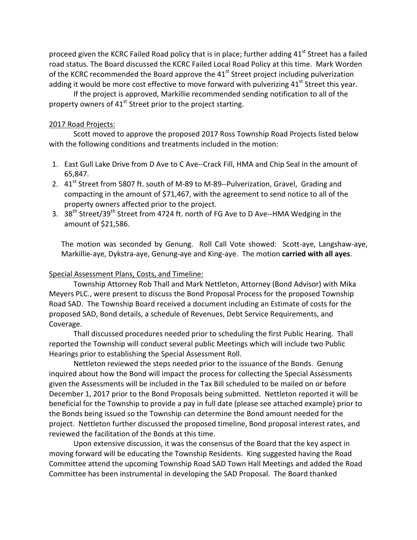proceed given the KCRC Failed Road policy that is in place; further adding  $41<sup>st</sup>$  Street has a failed road status. The Board discussed the KCRC Failed Local Road Policy at this time. Mark Worden of the KCRC recommended the Board approve the 41<sup>st</sup> Street project including pulverization adding it would be more cost effective to move forward with pulverizing  $41<sup>st</sup>$  Street this year.

If the project is approved, Markillie recommended sending notification to all of the property owners of  $41<sup>st</sup>$  Street prior to the project starting.

#### 2017 Road Projects:

Scott moved to approve the proposed 2017 Ross Township Road Projects listed below with the following conditions and treatments included in the motion:

- 1. East Gull Lake Drive from D Ave to C Ave--Crack Fill, HMA and Chip Seal in the amount of 65,847.
- 2. 41<sup>st</sup> Street from 5807 ft. south of M-89 to M-89--Pulverization, Gravel, Grading and compacting in the amount of \$71,467, with the agreement to send notice to all of the property owners affected prior to the project.
- 3. 38<sup>th</sup> Street/39<sup>th</sup> Street from 4724 ft. north of FG Ave to D Ave--HMA Wedging in the amount of \$21,586.

The motion was seconded by Genung. Roll Call Vote showed: Scott-aye, Langshaw-aye, Markillie‐aye, Dykstra‐aye, Genung‐aye and King‐aye. The motion **carried with all ayes**.

## Special Assessment Plans, Costs, and Timeline:

Township Attorney Rob Thall and Mark Nettleton, Attorney (Bond Advisor) with Mika Meyers PLC., were present to discuss the Bond Proposal Process for the proposed Township Road SAD. The Township Board received a document including an Estimate of costs for the proposed SAD, Bond details, a schedule of Revenues, Debt Service Requirements, and Coverage.

Thall discussed procedures needed prior to scheduling the first Public Hearing. Thall reported the Township will conduct several public Meetings which will include two Public Hearings prior to establishing the Special Assessment Roll.

Nettleton reviewed the steps needed prior to the issuance of the Bonds. Genung inquired about how the Bond will impact the process for collecting the Special Assessments given the Assessments will be included in the Tax Bill scheduled to be mailed on or before December 1, 2017 prior to the Bond Proposals being submitted. Nettleton reported it will be beneficial for the Township to provide a pay in full date (please see attached example) prior to the Bonds being issued so the Township can determine the Bond amount needed for the project. Nettleton further discussed the proposed timeline, Bond proposal interest rates, and reviewed the facilitation of the Bonds at this time.

Upon extensive discussion, it was the consensus of the Board that the key aspect in moving forward will be educating the Township Residents. King suggested having the Road Committee attend the upcoming Township Road SAD Town Hall Meetings and added the Road Committee has been instrumental in developing the SAD Proposal. The Board thanked